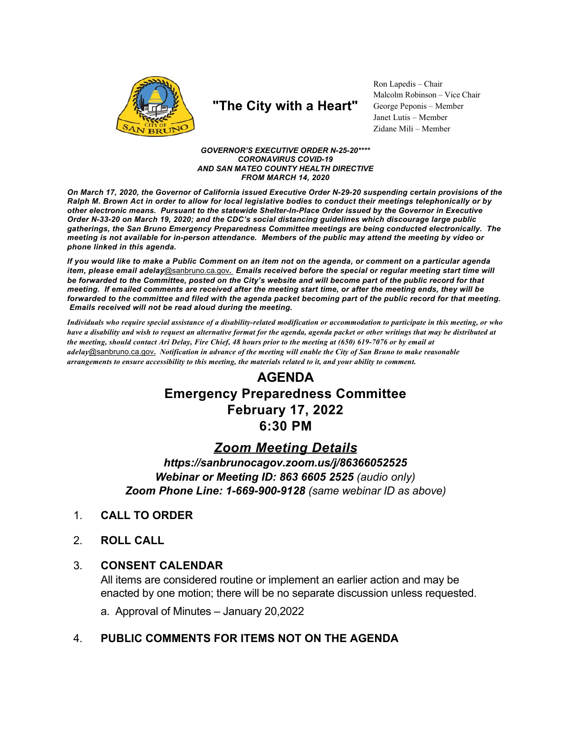

# "The City with a Heart"

Ron Lapedis - Chair Malcolm Robinson - Vice Chair George Peponis - Member Janet Lutis - Member Zidane Mili - Member

**GOVERNOR'S EXECUTIVE ORDER N-25-20\*\*\*\* CORONAVIRUS COVID-19** AND SAN MATEO COUNTY HEALTH DIRECTIVE **FROM MARCH 14, 2020** 

On March 17, 2020, the Governor of California issued Executive Order N-29-20 suspending certain provisions of the Ralph M. Brown Act in order to allow for local legislative bodies to conduct their meetings telephonically or by other electronic means. Pursuant to the statewide Shelter-In-Place Order issued by the Governor in Executive Order N-33-20 on March 19, 2020; and the CDC's social distancing guidelines which discourage large public gatherings, the San Bruno Emergency Preparedness Committee meetings are being conducted electronically. The meeting is not available for in-person attendance. Members of the public may attend the meeting by video or phone linked in this agenda.

If you would like to make a Public Comment on an item not on the agenda, or comment on a particular agenda item, please email adelay@sanbruno.ca.gov. Emails received before the special or regular meeting start time will be forwarded to the Committee, posted on the City's website and will become part of the public record for that meeting. If emailed comments are received after the meeting start time, or after the meeting ends, they will be forwarded to the committee and filed with the agenda packet becoming part of the public record for that meeting. Emails received will not be read aloud during the meeting.

Individuals who require special assistance of a disability-related modification or accommodation to participate in this meeting, or who have a disability and wish to request an alternative format for the agenda, agenda packet or other writings that may be distributed at the meeting, should contact Ari Delay, Fire Chief, 48 hours prior to the meeting at (650) 619-7076 or by email at adelay@sanbruno.ca.gov. Notification in advance of the meeting will enable the City of San Bruno to make reasonable arrangements to ensure accessibility to this meeting, the materials related to it, and your ability to comment.

## **AGENDA Emergency Preparedness Committee February 17, 2022**  $6:30$  PM

### **Zoom Meeting Details**

https://sanbrunocagov.zoom.us/j/86366052525 Webinar or Meeting ID: 863 6605 2525 (audio only) Zoom Phone Line: 1-669-900-9128 (same webinar ID as above)

- **CALL TO ORDER**  $1<sub>1</sub>$
- $2<sup>1</sup>$ **ROLL CALL**

#### $3_{-}$ **CONSENT CALENDAR**

All items are considered routine or implement an earlier action and may be enacted by one motion; there will be no separate discussion unless requested.

a. Approval of Minutes - January 20,2022

#### PUBLIC COMMENTS FOR ITEMS NOT ON THE AGENDA  $\mathbf{4}$